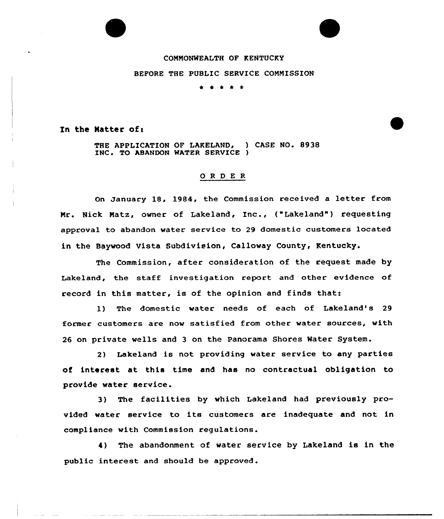## COMMONWEALTH OF KENTUCKY

## BEFORE THE PUBLIC SERVICE COMMISSION

\* \* \* \* \*

In the Matter of:

THE APPLICATION OF LAKELAND, ) CASE NO. 8938<br>INC. TO ABANDON WATER SERVICE )

## 0 <sup>R</sup> <sup>D</sup> E <sup>R</sup>

On January 18, 1984, the Commission received a letter from Mr. Nick Matz, owner of Lakeland, Inc., ("Lakeland") requesting approval to abandon water service to 29 domestic customers located in the Baywood Vista Subdivision, Calloway County< Kentucky.

The Commission, after consideration of the request made by Lakeland, the staff investigation report and other evidence of record in this matter, is of the opinion and finds that:

1) The domestic water needs of each of Lakeland's 29 former customers are now satisfied from other water sources, with 26 on private wells and 3 on the Panorama Shores Water System.

2) Lakeland is not providing water service to any parties of interest at this time and has no contractual obligation to provide water service.

3) The facilities by which Lakeland had previously provided water service to its customers are inadequate and not in compliance with Commission requlations.

4) The abandonment of water service by Lakeland is in the public interest and should be approved.